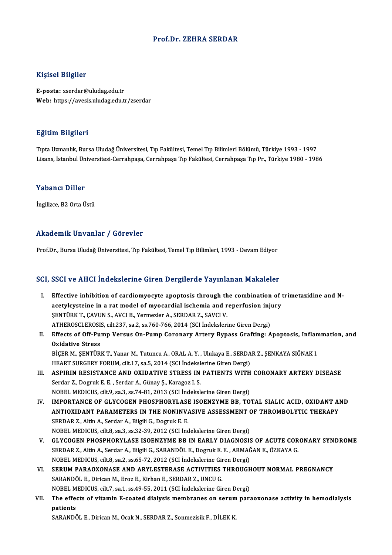#### Prof.Dr. ZEHRA SERDAR

#### Kişisel Bilgiler

E-posta: zserdar@uludag.edu.tr Web: https://avesis.uludag.edu.tr/zserdar

#### Eğitim Bilgileri

TıptaUzmanlık,BursaUludağÜniversitesi,Tıp Fakültesi,TemelTıpBilimleriBölümü,Türkiye 1993 -1997 Lisans, İstanbul Üniversitesi-Cerrahpaşa, Cerrahpaşa Tıp Fakültesi, Cerrahpaşa Tıp Pr., Türkiye 1980 - 1986

### Yabancı Diller

İngilizce, B2 Orta Üstü

### Akademik Unvanlar / Görevler

Prof.Dr., Bursa Uludağ Üniversitesi, Tıp Fakültesi, Temel Tıp Bilimleri, 1993 - Devam Ediyor

### SCI, SSCI ve AHCI İndekslerine Giren Dergilerde Yayınlanan Makaleler

- CI, SSCI ve AHCI Indekslerine Giren Dergilerde Yayınlanan Makaleler<br>I. Effective inhibition of cardiomyocyte apoptosis through the combination of trimetazidine and N-<br>asotulaustaine in a rat model of muesardial isohemia an BEST TO THEI INCREDITING CHEMI DEI SINGLETZ THE MINIMUM PLANATORY<br>Effective inhibition of cardiomyocyte apoptosis through the combination of t<br>acetylcysteine in a rat model of myocardial ischemia and reperfusion injury Effective inhibition of cardiomyocyte apoptosis through the<br>acetylcysteine in a rat model of myocardial ischemia and r<br>ŞENTÜRK T., ÇAVUN S., AVCI B., Yermezler A., SERDAR Z., SAVCI V.<br>ATHEROSCI EROSIS, Silt 227, ss 2, ss 7 acetylcysteine in a rat model of myocardial ischemia and reperfusion injury<br>ŞENTÜRK T., ÇAVUN S., AVCI B., Yermezler A., SERDAR Z., SAVCI V.<br>ATHEROSCLEROSIS, cilt.237, sa.2, ss.760-766, 2014 (SCI İndekslerine Giren Dergi) SENTÜRK T., ÇAVUN S., AVCI B., Yermezler A., SERDAR Z., SAVCI V.<br>ATHEROSCLEROSIS, cilt.237, sa.2, ss.760-766, 2014 (SCI İndekslerine Giren Dergi)<br>II. Effects of Off-Pump Versus On-Pump Coronary Artery Bypass Grafting: Apop ATHEROSCLEROSI:<br>Effects of Off-Pu<br>Oxidative Stress<br>Picep M. SENTUP Effects of Off-Pump Versus On-Pump Coronary Artery Bypass Grafting: Apoptosis, Infland<br>Oxidative Stress<br>BİÇER M., ŞENTÜRK T., Yanar M., Tutuncu A., ORAL A. Y. , Ulukaya E., SERDAR Z., ŞENKAYA SIĞNAK I.<br>HEART SURCERY FORUM Oxidative Stress<br>BİÇER M., ŞENTÜRK T., Yanar M., Tutuncu A., ORAL A. Y. , Ulukaya E., SERDA<br>HEART SURGERY FORUM, cilt.17, sa.5, 2014 (SCI İndekslerine Giren Dergi)<br>ASPIRIN RESISTANCE AND OYIDATIVE STRESS IN RATIENTS WITH BİÇER M., ŞENTÜRK T., Yanar M., Tutuncu A., ORAL A. Y. , Ulukaya E., SERDAR Z., ŞENKAYA SIĞNAK I.<br>HEART SURGERY FORUM, cilt.17, sa.5, 2014 (SCI İndekslerine Giren Dergi)<br>III. ASPIRIN RESISTANCE AND OXIDATIVE STRESS IN PATI HEART SURGERY FORUM, cilt.17, sa.5, 2014 (SCI İndeksl<br>**ASPIRIN RESISTANCE AND OXIDATIVE STRESS IN**<br>Serdar Z., Dogruk E. E. , Serdar A., Günay Ş., Karagoz I. S.<br>NOBEL MEDICUS, silt.0, sa.3, sa.74, 81, 2012 (SCI İndeksl Serdar Z., Dogruk E. E. , Serdar A., Günay Ş., Karagoz I. S.<br>NOBEL MEDICUS, cilt.9, sa.3, ss.74-81, 2013 (SCI İndekslerine Giren Dergi) IV. IMPORTANCE OF GLYCOGEN PHOSPHORYLASE ISOENZYME BB, TOTAL SIALIC ACID, OXIDANT AND NOBEL MEDICUS, cilt.9, sa.3, ss.74-81, 2013 (SCI İndekslerine Giren Dergi)<br>IMPORTANCE OF GLYCOGEN PHOSPHORYLASE ISOENZYME BB, TOTAL SIALIC ACID, OXIDANT AI<br>ANTIOXIDANT PARAMETERS IN THE NONINVASIVE ASSESSMENT OF THROMBOLYT SERDAR Z., Altin A., Serdar A., Bilgili G., Dogruk E. E.<br>NOBEL MEDICUS, cilt.8. sa.3. ss.32-39. 2012 (SCI İndekslerine Giren Dergi) ANTIOXIDANT PARAMETERS IN THE NONINVASIVE ASSESSMENT (<br>SERDAR Z., Altin A., Serdar A., Bilgili G., Dogruk E. E.<br>NOBEL MEDICUS, cilt.8, sa.3, ss.32-39, 2012 (SCI İndekslerine Giren Dergi)<br>CLYCOCEN BHOSBHOBYLASE ISOENZYME BR V. GLYCOGEN PHOSPHORYLASE ISOENZYME BB IN EARLY DIAGNOSIS OF ACUTE CORONARY SYNDROME NOBEL MEDICUS, cilt.8, sa.3, ss.32-39, 2012 (SCI İndekslerine Giren Dergi)<br>GLYCOGEN PHOSPHORYLASE ISOENZYME BB IN EARLY DIAGNOSIS OF ACUTE COR<br>SERDAR Z., Altin A., Serdar A., Bilgili G., SARANDÖL E., Dogruk E. E. , ARMAĞAN GLYCOGEN PHOSPHORYLASE ISOENZYME BB IN EARLY DIAGNOSIS<br>SERDAR Z., Altin A., Serdar A., Bilgili G., SARANDÖL E., Dogruk E. E. , ARMAČ<br>NOBEL MEDICUS, cilt.8, sa.2, ss.65-72, 2012 (SCI İndekslerine Giren Dergi)<br>SERIIM BARAOYO SERDAR Z., Altin A., Serdar A., Bilgili G., SARANDÖL E., Dogruk E. E. , ARMAĞAN E., ÖZKAYA G.<br>NOBEL MEDICUS, cilt.8, sa.2, ss.65-72, 2012 (SCI İndekslerine Giren Dergi)<br>VI. SERUM PARAOXONASE AND ARYLESTERASE ACTIVITIES THR NOBEL MEDICUS, cilt.8, sa.2, ss.65-72, 2012 (SCI İndekslerine Giren Dergi)<br>SERUM PARAOXONASE AND ARYLESTERASE ACTIVITIES THROUGF<br>SARANDÖL E., Dirican M., Eroz E., Kirhan E., SERDAR Z., UNCU G. SERUM PARAOXONASE AND ARYLESTERASE ACTIVITIES THROUGH<br>SARANDÖL E., Dirican M., Eroz E., Kirhan E., SERDAR Z., UNCU G.<br>NOBEL MEDICUS, cilt.7, sa.1, ss.49-55, 2011 (SCI İndekslerine Giren Dergi)<br>The effects of vitamin E seet SARANDÖL E., Dirican M., Eroz E., Kirhan E., SERDAR Z., UNCU G.<br>NOBEL MEDICUS, cilt.7, sa.1, ss.49-55, 2011 (SCI İndekslerine Giren Dergi)<br>VII. The effects of vitamin E-coated dialysis membranes on serum paraoxonase ac
- NOBEL MEDICUS, cilt.7, sa.1, ss.49-55, 2011 (SCI İndekslerine Giren Dergi)<br>The effects of vitamin E-coated dialysis membranes on serum parapatients<br>SARANDÖL E., Dirican M., Ocak N., SERDAR Z., Sonmezisik F., DİLEK K. The effects of vitamin E-coated dialysis membranes on serum<br>patients<br>SARANDÖL E., Dirican M., Ocak N., SERDAR Z., Sonmezisik F., DİLEK K.